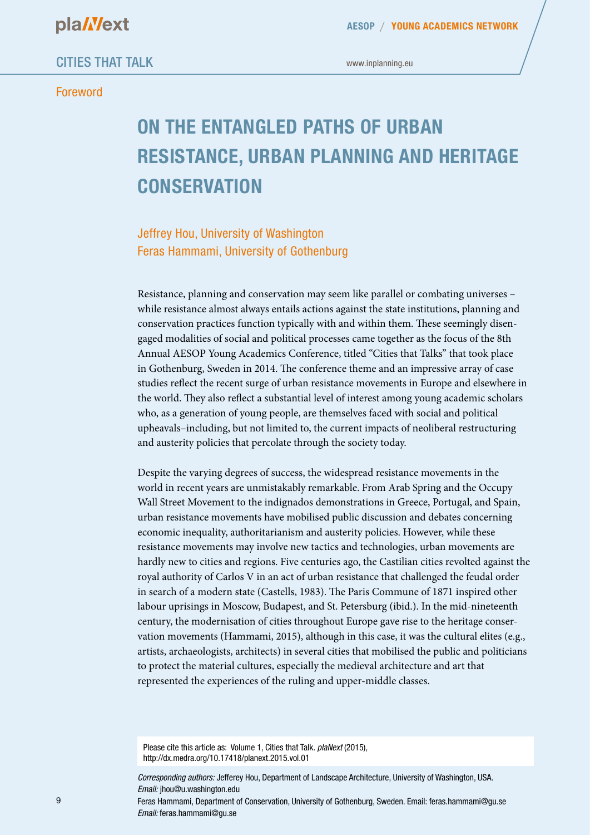#### Foreword

www.inplanning.eu

# **ON THE ENTANGLED PATHS OF URBAN RESISTANCE, URBAN PLANNING AND HERITAGE CONSERVATION**

Jeffrey Hou, University of Washington Feras Hammami, University of Gothenburg

Resistance, planning and conservation may seem like parallel or combating universes – while resistance almost always entails actions against the state institutions, planning and conservation practices function typically with and within them. These seemingly disengaged modalities of social and political processes came together as the focus of the 8th Annual AESOP Young Academics Conference, titled "Cities that Talks" that took place in Gothenburg, Sweden in 2014. The conference theme and an impressive array of case studies reflect the recent surge of urban resistance movements in Europe and elsewhere in the world. They also reflect a substantial level of interest among young academic scholars who, as a generation of young people, are themselves faced with social and political upheavals–including, but not limited to, the current impacts of neoliberal restructuring and austerity policies that percolate through the society today.

Despite the varying degrees of success, the widespread resistance movements in the world in recent years are unmistakably remarkable. From Arab Spring and the Occupy Wall Street Movement to the indignados demonstrations in Greece, Portugal, and Spain, urban resistance movements have mobilised public discussion and debates concerning economic inequality, authoritarianism and austerity policies. However, while these resistance movements may involve new tactics and technologies, urban movements are hardly new to cities and regions. Five centuries ago, the Castilian cities revolted against the royal authority of Carlos V in an act of urban resistance that challenged the feudal order in search of a modern state (Castells, 1983). The Paris Commune of 1871 inspired other labour uprisings in Moscow, Budapest, and St. Petersburg (ibid.). In the mid-nineteenth century, the modernisation of cities throughout Europe gave rise to the heritage conservation movements (Hammami, 2015), although in this case, it was the cultural elites (e.g., artists, archaeologists, architects) in several cities that mobilised the public and politicians to protect the material cultures, especially the medieval architecture and art that represented the experiences of the ruling and upper-middle classes.

Please cite this article as: Volume 1, Cities that Talk. *plaNext* (2015), http://dx.medra.org/10.17418/planext.2015.vol.01

*Corresponding authors:* Jefferey Hou, Department of Landscape Architecture, University of Washington, USA. *Email:* jhou@u.washington.edu

Feras Hammami, Department of Conservation, University of Gothenburg, Sweden. Email: feras.hammami@gu.se *Email:* feras.hammami@gu.se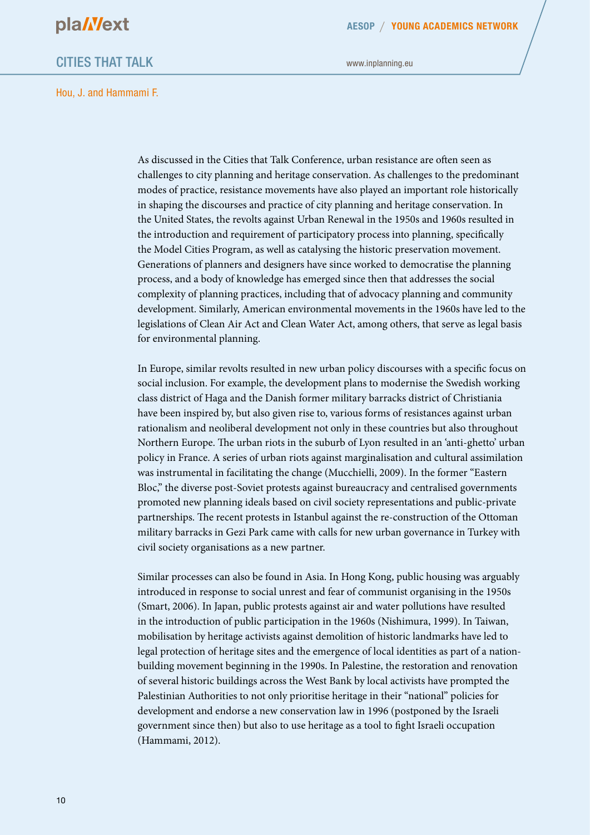

**AESOP YOUNG ACADEMICS NETWORK**

### CITIES THAT TALK

www.inplanning.eu

Hou, J. and Hammami F.

As discussed in the Cities that Talk Conference, urban resistance are often seen as challenges to city planning and heritage conservation. As challenges to the predominant modes of practice, resistance movements have also played an important role historically in shaping the discourses and practice of city planning and heritage conservation. In the United States, the revolts against Urban Renewal in the 1950s and 1960s resulted in the introduction and requirement of participatory process into planning, specifically the Model Cities Program, as well as catalysing the historic preservation movement. Generations of planners and designers have since worked to democratise the planning process, and a body of knowledge has emerged since then that addresses the social complexity of planning practices, including that of advocacy planning and community development. Similarly, American environmental movements in the 1960s have led to the legislations of Clean Air Act and Clean Water Act, among others, that serve as legal basis for environmental planning.

In Europe, similar revolts resulted in new urban policy discourses with a specific focus on social inclusion. For example, the development plans to modernise the Swedish working class district of Haga and the Danish former military barracks district of Christiania have been inspired by, but also given rise to, various forms of resistances against urban rationalism and neoliberal development not only in these countries but also throughout Northern Europe. The urban riots in the suburb of Lyon resulted in an 'anti-ghetto' urban policy in France. A series of urban riots against marginalisation and cultural assimilation was instrumental in facilitating the change (Mucchielli, 2009). In the former "Eastern Bloc," the diverse post-Soviet protests against bureaucracy and centralised governments promoted new planning ideals based on civil society representations and public-private partnerships. The recent protests in Istanbul against the re-construction of the Ottoman military barracks in Gezi Park came with calls for new urban governance in Turkey with civil society organisations as a new partner.

Similar processes can also be found in Asia. In Hong Kong, public housing was arguably introduced in response to social unrest and fear of communist organising in the 1950s (Smart, 2006). In Japan, public protests against air and water pollutions have resulted in the introduction of public participation in the 1960s (Nishimura, 1999). In Taiwan, mobilisation by heritage activists against demolition of historic landmarks have led to legal protection of heritage sites and the emergence of local identities as part of a nationbuilding movement beginning in the 1990s. In Palestine, the restoration and renovation of several historic buildings across the West Bank by local activists have prompted the Palestinian Authorities to not only prioritise heritage in their "national" policies for development and endorse a new conservation law in 1996 (postponed by the Israeli government since then) but also to use heritage as a tool to fight Israeli occupation (Hammami, 2012).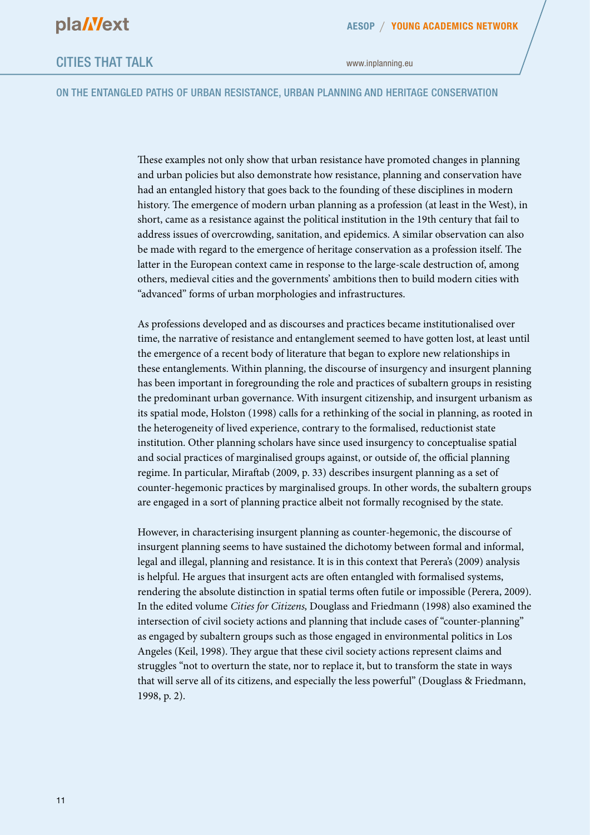www.inplanning.eu

#### ON THE ENTANGLED PATHS OF URBAN RESISTANCE, URBAN PLANNING AND HERITAGE CONSERVATION

These examples not only show that urban resistance have promoted changes in planning and urban policies but also demonstrate how resistance, planning and conservation have had an entangled history that goes back to the founding of these disciplines in modern history. The emergence of modern urban planning as a profession (at least in the West), in short, came as a resistance against the political institution in the 19th century that fail to address issues of overcrowding, sanitation, and epidemics. A similar observation can also be made with regard to the emergence of heritage conservation as a profession itself. The latter in the European context came in response to the large-scale destruction of, among others, medieval cities and the governments' ambitions then to build modern cities with "advanced" forms of urban morphologies and infrastructures.

As professions developed and as discourses and practices became institutionalised over time, the narrative of resistance and entanglement seemed to have gotten lost, at least until the emergence of a recent body of literature that began to explore new relationships in these entanglements. Within planning, the discourse of insurgency and insurgent planning has been important in foregrounding the role and practices of subaltern groups in resisting the predominant urban governance. With insurgent citizenship, and insurgent urbanism as its spatial mode, Holston (1998) calls for a rethinking of the social in planning, as rooted in the heterogeneity of lived experience, contrary to the formalised, reductionist state institution. Other planning scholars have since used insurgency to conceptualise spatial and social practices of marginalised groups against, or outside of, the official planning regime. In particular, Miraftab (2009, p. 33) describes insurgent planning as a set of counter-hegemonic practices by marginalised groups. In other words, the subaltern groups are engaged in a sort of planning practice albeit not formally recognised by the state.

However, in characterising insurgent planning as counter-hegemonic, the discourse of insurgent planning seems to have sustained the dichotomy between formal and informal, legal and illegal, planning and resistance. It is in this context that Perera's (2009) analysis is helpful. He argues that insurgent acts are often entangled with formalised systems, rendering the absolute distinction in spatial terms often futile or impossible (Perera, 2009). In the edited volume *Cities for Citizens,* Douglass and Friedmann (1998) also examined the intersection of civil society actions and planning that include cases of "counter-planning" as engaged by subaltern groups such as those engaged in environmental politics in Los Angeles (Keil, 1998). They argue that these civil society actions represent claims and struggles "not to overturn the state, nor to replace it, but to transform the state in ways that will serve all of its citizens, and especially the less powerful" (Douglass & Friedmann, 1998, p. 2).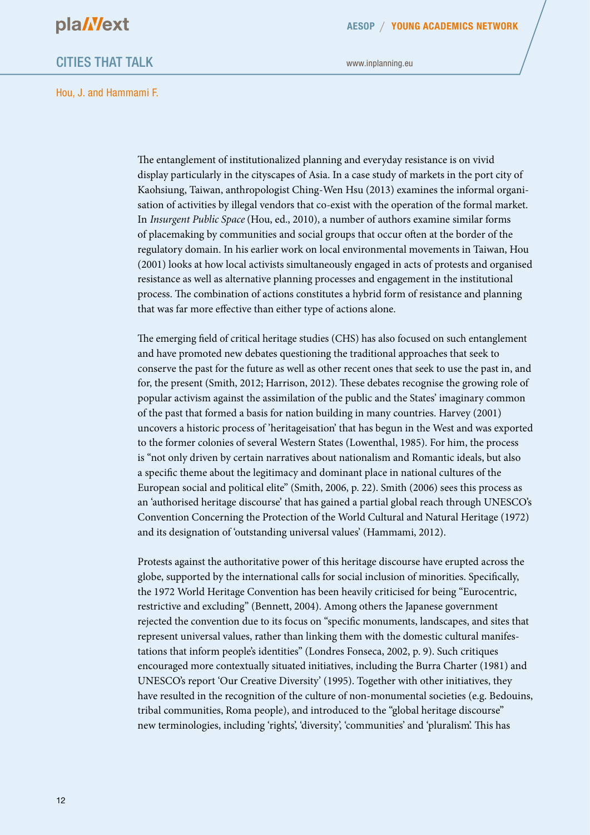

**AESOP YOUNG ACADEMICS NETWORK**

### CITIES THAT TALK

www.inplanning.eu

Hou, J. and Hammami F.

The entanglement of institutionalized planning and everyday resistance is on vivid display particularly in the cityscapes of Asia. In a case study of markets in the port city of Kaohsiung, Taiwan, anthropologist Ching-Wen Hsu (2013) examines the informal organisation of activities by illegal vendors that co-exist with the operation of the formal market. In *Insurgent Public Space* (Hou, ed., 2010), a number of authors examine similar forms of placemaking by communities and social groups that occur often at the border of the regulatory domain. In his earlier work on local environmental movements in Taiwan, Hou (2001) looks at how local activists simultaneously engaged in acts of protests and organised resistance as well as alternative planning processes and engagement in the institutional process. The combination of actions constitutes a hybrid form of resistance and planning that was far more effective than either type of actions alone.

The emerging field of critical heritage studies (CHS) has also focused on such entanglement and have promoted new debates questioning the traditional approaches that seek to conserve the past for the future as well as other recent ones that seek to use the past in, and for, the present (Smith, 2012; Harrison, 2012). These debates recognise the growing role of popular activism against the assimilation of the public and the States' imaginary common of the past that formed a basis for nation building in many countries. Harvey (2001) uncovers a historic process of 'heritageisation' that has begun in the West and was exported to the former colonies of several Western States (Lowenthal, 1985). For him, the process is "not only driven by certain narratives about nationalism and Romantic ideals, but also a specific theme about the legitimacy and dominant place in national cultures of the European social and political elite" (Smith, 2006, p. 22). Smith (2006) sees this process as an 'authorised heritage discourse' that has gained a partial global reach through UNESCO's Convention Concerning the Protection of the World Cultural and Natural Heritage (1972) and its designation of 'outstanding universal values' (Hammami, 2012).

Protests against the authoritative power of this heritage discourse have erupted across the globe, supported by the international calls for social inclusion of minorities. Specifically, the 1972 World Heritage Convention has been heavily criticised for being "Eurocentric, restrictive and excluding" (Bennett, 2004). Among others the Japanese government rejected the convention due to its focus on "specific monuments, landscapes, and sites that represent universal values, rather than linking them with the domestic cultural manifestations that inform people's identities" (Londres Fonseca, 2002, p. 9). Such critiques encouraged more contextually situated initiatives, including the Burra Charter (1981) and UNESCO's report 'Our Creative Diversity' (1995). Together with other initiatives, they have resulted in the recognition of the culture of non-monumental societies (e.g. Bedouins, tribal communities, Roma people), and introduced to the "global heritage discourse" new terminologies, including 'rights', 'diversity', 'communities' and 'pluralism'. This has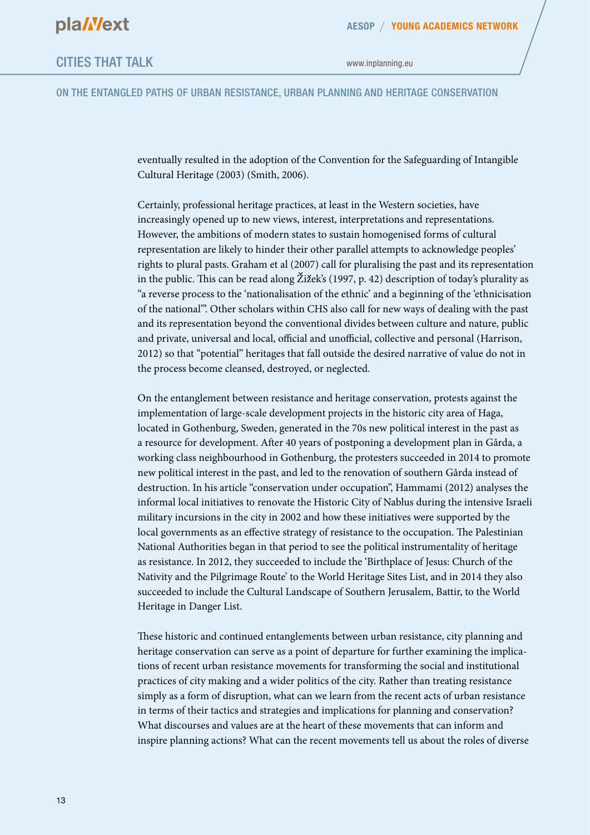ON THE ENTANGLED PATHS OF URBAN RESISTANCE, URBAN PLANNING AND HERITAGE CONSERVATION

eventually resulted in the adoption of the Convention for the Safeguarding of Intangible Cultural Heritage (2003) (Smith, 2006).

Certainly, professional heritage practices, at least in the Western societies, have increasingly opened up to new views, interest, interpretations and representations. However, the ambitions of modern states to sustain homogenised forms of cultural representation are likely to hinder their other parallel attempts to acknowledge peoples' rights to plural pasts. Graham et al (2007) call for pluralising the past and its representation in the public. This can be read along Žižek's (1997, p. 42) description of today's plurality as "a reverse process to the 'nationalisation of the ethnic' and a beginning of the 'ethnicisation of the national'". Other scholars within CHS also call for new ways of dealing with the past and its representation beyond the conventional divides between culture and nature, public and private, universal and local, official and unofficial, collective and personal (Harrison, 2012) so that "potential" heritages that fall outside the desired narrative of value do not in the process become cleansed, destroyed, or neglected.

On the entanglement between resistance and heritage conservation, protests against the implementation of large-scale development projects in the historic city area of Haga, located in Gothenburg, Sweden, generated in the 70s new political interest in the past as a resource for development. After 40 years of postponing a development plan in Gårda, a working class neighbourhood in Gothenburg, the protesters succeeded in 2014 to promote new political interest in the past, and led to the renovation of southern Gårda instead of destruction. In his article "conservation under occupation", Hammami (2012) analyses the informal local initiatives to renovate the Historic City of Nablus during the intensive Israeli military incursions in the city in 2002 and how these initiatives were supported by the local governments as an effective strategy of resistance to the occupation. The Palestinian National Authorities began in that period to see the political instrumentality of heritage as resistance. In 2012, they succeeded to include the 'Birthplace of Jesus: Church of the Nativity and the Pilgrimage Route' to the World Heritage Sites List, and in 2014 they also succeeded to include the Cultural Landscape of Southern Jerusalem, Battir, to the World Heritage in Danger List.

These historic and continued entanglements between urban resistance, city planning and heritage conservation can serve as a point of departure for further examining the implications of recent urban resistance movements for transforming the social and institutional practices of city making and a wider politics of the city. Rather than treating resistance simply as a form of disruption, what can we learn from the recent acts of urban resistance in terms of their tactics and strategies and implications for planning and conservation? What discourses and values are at the heart of these movements that can inform and inspire planning actions? What can the recent movements tell us about the roles of diverse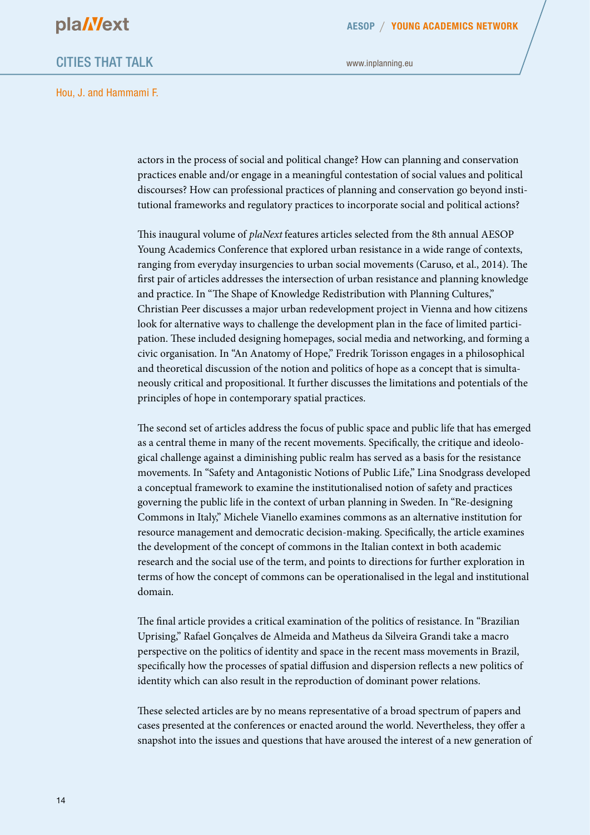

**AESOP YOUNG ACADEMICS NETWORK**

## CITIES THAT TALK

www.inplanning.eu

Hou, J. and Hammami F.

actors in the process of social and political change? How can planning and conservation practices enable and/or engage in a meaningful contestation of social values and political discourses? How can professional practices of planning and conservation go beyond institutional frameworks and regulatory practices to incorporate social and political actions?

This inaugural volume of *plaNext* features articles selected from the 8th annual AESOP Young Academics Conference that explored urban resistance in a wide range of contexts, ranging from everyday insurgencies to urban social movements (Caruso, et al., 2014). The first pair of articles addresses the intersection of urban resistance and planning knowledge and practice. In "The Shape of Knowledge Redistribution with Planning Cultures," Christian Peer discusses a major urban redevelopment project in Vienna and how citizens look for alternative ways to challenge the development plan in the face of limited participation. These included designing homepages, social media and networking, and forming a civic organisation. In "An Anatomy of Hope," Fredrik Torisson engages in a philosophical and theoretical discussion of the notion and politics of hope as a concept that is simultaneously critical and propositional. It further discusses the limitations and potentials of the principles of hope in contemporary spatial practices.

The second set of articles address the focus of public space and public life that has emerged as a central theme in many of the recent movements. Specifically, the critique and ideological challenge against a diminishing public realm has served as a basis for the resistance movements. In "Safety and Antagonistic Notions of Public Life," Lina Snodgrass developed a conceptual framework to examine the institutionalised notion of safety and practices governing the public life in the context of urban planning in Sweden. In "Re-designing Commons in Italy," Michele Vianello examines commons as an alternative institution for resource management and democratic decision-making. Specifically, the article examines the development of the concept of commons in the Italian context in both academic research and the social use of the term, and points to directions for further exploration in terms of how the concept of commons can be operationalised in the legal and institutional domain.

The final article provides a critical examination of the politics of resistance. In "Brazilian Uprising," Rafael Gonçalves de Almeida and Matheus da Silveira Grandi take a macro perspective on the politics of identity and space in the recent mass movements in Brazil, specifically how the processes of spatial diffusion and dispersion reflects a new politics of identity which can also result in the reproduction of dominant power relations.

These selected articles are by no means representative of a broad spectrum of papers and cases presented at the conferences or enacted around the world. Nevertheless, they offer a snapshot into the issues and questions that have aroused the interest of a new generation of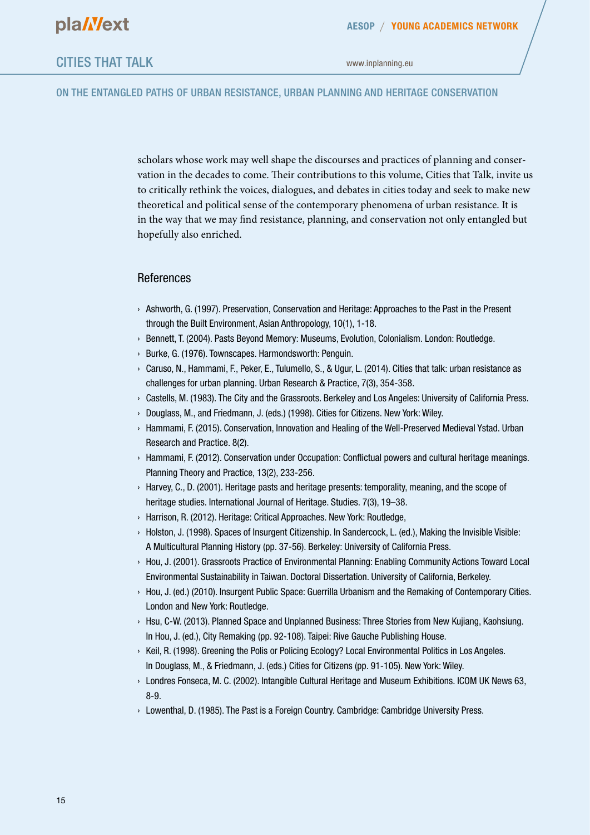#### ON THE ENTANGLED PATHS OF URBAN RESISTANCE, URBAN PLANNING AND HERITAGE CONSERVATION

scholars whose work may well shape the discourses and practices of planning and conservation in the decades to come. Their contributions to this volume, Cities that Talk, invite us to critically rethink the voices, dialogues, and debates in cities today and seek to make new theoretical and political sense of the contemporary phenomena of urban resistance. It is in the way that we may find resistance, planning, and conservation not only entangled but hopefully also enriched.

#### References

- › Ashworth, G. (1997). Preservation, Conservation and Heritage: Approaches to the Past in the Present through the Built Environment, Asian Anthropology, 10(1), 1-18.
- › Bennett, T. (2004). Pasts Beyond Memory: Museums, Evolution, Colonialism. London: Routledge.
- › Burke, G. (1976). Townscapes. Harmondsworth: Penguin.
- › Caruso, N., Hammami, F., Peker, E., Tulumello, S., & Ugur, L. (2014). Cities that talk: urban resistance as challenges for urban planning. Urban Research & Practice, 7(3), 354-358.
- › Castells, M. (1983). The City and the Grassroots. Berkeley and Los Angeles: University of California Press.
- › Douglass, M., and Friedmann, J. (eds.) (1998). Cities for Citizens. New York: Wiley.
- › Hammami, F. (2015). Conservation, Innovation and Healing of the Well-Preserved Medieval Ystad. Urban Research and Practice. 8(2).
- › Hammami, F. (2012). Conservation under Occupation: Conflictual powers and cultural heritage meanings. Planning Theory and Practice, 13(2), 233-256.
- › Harvey, C., D. (2001). Heritage pasts and heritage presents: temporality, meaning, and the scope of heritage studies. International Journal of Heritage. Studies. 7(3), 19–38.
- › Harrison, R. (2012). Heritage: Critical Approaches. New York: Routledge,
- › Holston, J. (1998). Spaces of Insurgent Citizenship. In Sandercock, L. (ed.), Making the Invisible Visible: A Multicultural Planning History (pp. 37-56). Berkeley: University of California Press.
- › Hou, J. (2001). Grassroots Practice of Environmental Planning: Enabling Community Actions Toward Local Environmental Sustainability in Taiwan. Doctoral Dissertation. University of California, Berkeley.
- › Hou, J. (ed.) (2010). Insurgent Public Space: Guerrilla Urbanism and the Remaking of Contemporary Cities. London and New York: Routledge.
- › Hsu, C-W. (2013). Planned Space and Unplanned Business: Three Stories from New Kujiang, Kaohsiung. In Hou, J. (ed.), City Remaking (pp. 92-108). Taipei: Rive Gauche Publishing House.
- › Keil, R. (1998). Greening the Polis or Policing Ecology? Local Environmental Politics in Los Angeles. In Douglass, M., & Friedmann, J. (eds.) Cities for Citizens (pp. 91-105). New York: Wiley.
- › Londres Fonseca, M. C. (2002). Intangible Cultural Heritage and Museum Exhibitions. ICOM UK News 63, 8-9.
- › Lowenthal, D. (1985). The Past is a Foreign Country. Cambridge: Cambridge University Press.